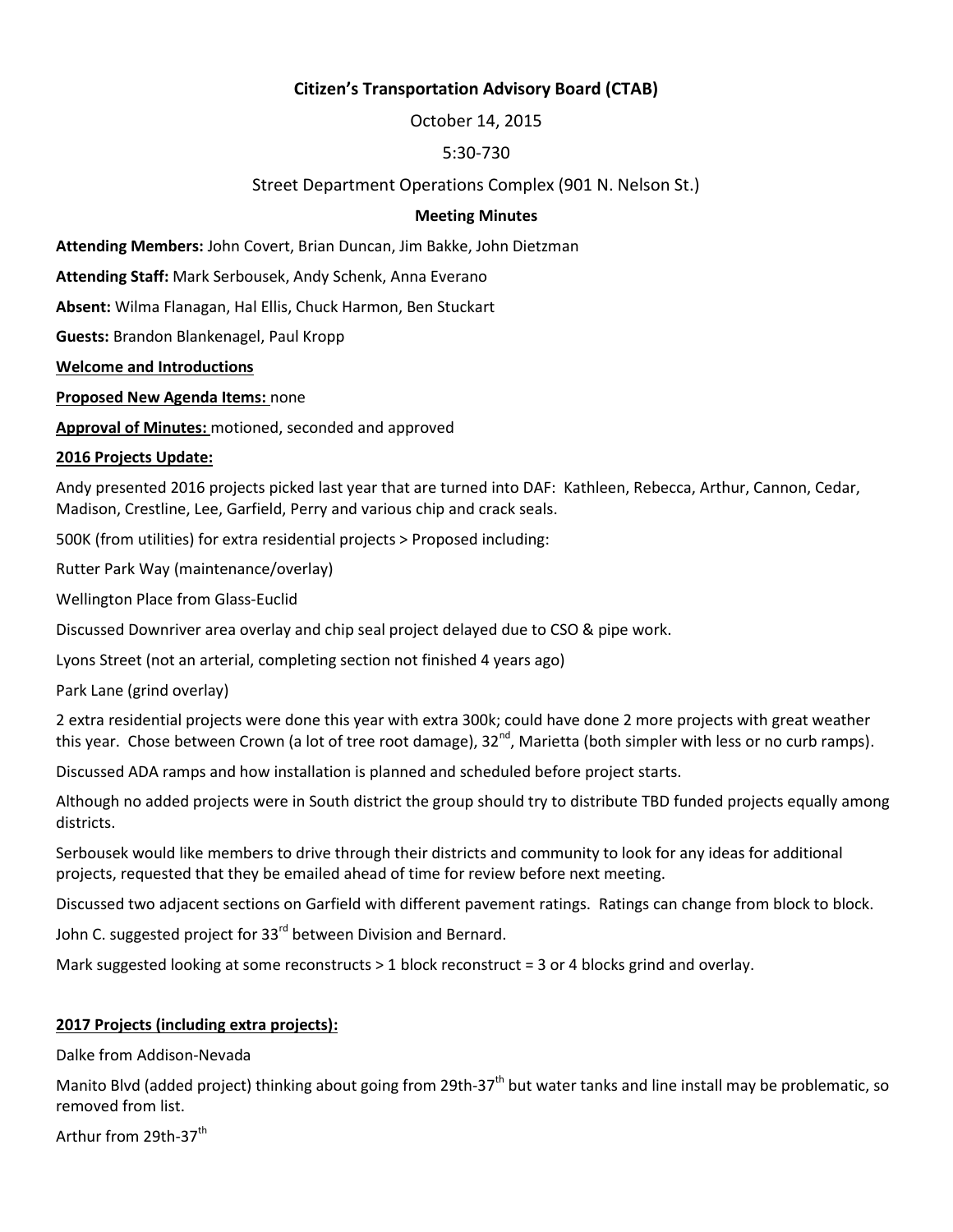# **Citizen's Transportation Advisory Board (CTAB)**

October 14, 2015

# 5:30-730

# Street Department Operations Complex (901 N. Nelson St.)

#### **Meeting Minutes**

**Attending Members:** John Covert, Brian Duncan, Jim Bakke, John Dietzman

**Attending Staff:** Mark Serbousek, Andy Schenk, Anna Everano

**Absent:** Wilma Flanagan, Hal Ellis, Chuck Harmon, Ben Stuckart

**Guests:** Brandon Blankenagel, Paul Kropp

**Welcome and Introductions**

**Proposed New Agenda Items:** none

**Approval of Minutes:** motioned, seconded and approved

#### **2016 Projects Update:**

Andy presented 2016 projects picked last year that are turned into DAF: Kathleen, Rebecca, Arthur, Cannon, Cedar, Madison, Crestline, Lee, Garfield, Perry and various chip and crack seals.

500K (from utilities) for extra residential projects > Proposed including:

Rutter Park Way (maintenance/overlay)

Wellington Place from Glass-Euclid

Discussed Downriver area overlay and chip seal project delayed due to CSO & pipe work.

Lyons Street (not an arterial, completing section not finished 4 years ago)

Park Lane (grind overlay)

2 extra residential projects were done this year with extra 300k; could have done 2 more projects with great weather this year. Chose between Crown (a lot of tree root damage), 32<sup>nd</sup>, Marietta (both simpler with less or no curb ramps).

Discussed ADA ramps and how installation is planned and scheduled before project starts.

Although no added projects were in South district the group should try to distribute TBD funded projects equally among districts.

Serbousek would like members to drive through their districts and community to look for any ideas for additional projects, requested that they be emailed ahead of time for review before next meeting.

Discussed two adjacent sections on Garfield with different pavement ratings. Ratings can change from block to block.

John C. suggested project for 33<sup>rd</sup> between Division and Bernard.

Mark suggested looking at some reconstructs  $> 1$  block reconstruct = 3 or 4 blocks grind and overlay.

### **2017 Projects (including extra projects):**

Dalke from Addison-Nevada

Manito Blvd (added project) thinking about going from 29th-37<sup>th</sup> but water tanks and line install may be problematic, so removed from list.

Arthur from 29th-37<sup>th</sup>